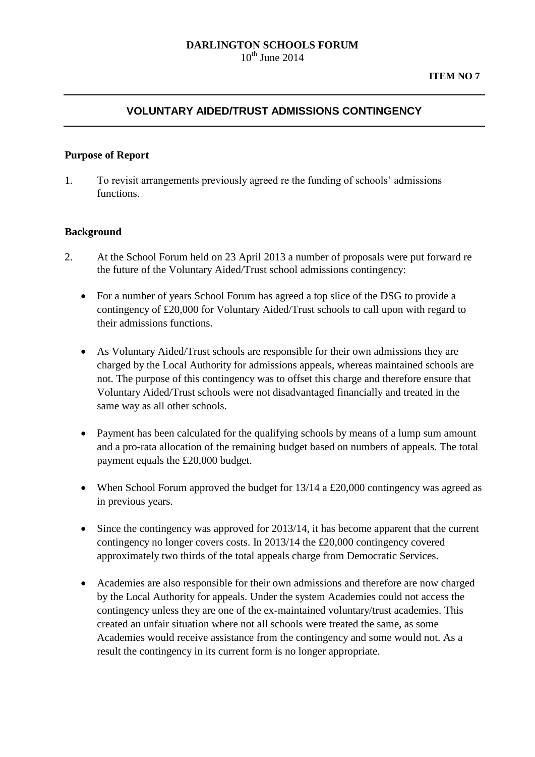#### **DARLINGTON SCHOOLS FORUM**  $10^{th}$  June 2014

# **VOLUNTARY AIDED/TRUST ADMISSIONS CONTINGENCY**

#### **Purpose of Report**

1. To revisit arrangements previously agreed re the funding of schools' admissions functions.

### **Background**

- 2. At the School Forum held on 23 April 2013 a number of proposals were put forward re the future of the Voluntary Aided/Trust school admissions contingency:
	- For a number of years School Forum has agreed a top slice of the DSG to provide a contingency of £20,000 for Voluntary Aided/Trust schools to call upon with regard to their admissions functions.
	- As Voluntary Aided/Trust schools are responsible for their own admissions they are charged by the Local Authority for admissions appeals, whereas maintained schools are not. The purpose of this contingency was to offset this charge and therefore ensure that Voluntary Aided/Trust schools were not disadvantaged financially and treated in the same way as all other schools.
	- Payment has been calculated for the qualifying schools by means of a lump sum amount and a pro-rata allocation of the remaining budget based on numbers of appeals. The total payment equals the £20,000 budget.
	- When School Forum approved the budget for 13/14 a £20,000 contingency was agreed as in previous years.
	- Since the contingency was approved for 2013/14, it has become apparent that the current contingency no longer covers costs. In 2013/14 the £20,000 contingency covered approximately two thirds of the total appeals charge from Democratic Services.
	- Academies are also responsible for their own admissions and therefore are now charged by the Local Authority for appeals. Under the system Academies could not access the contingency unless they are one of the ex-maintained voluntary/trust academies. This created an unfair situation where not all schools were treated the same, as some Academies would receive assistance from the contingency and some would not. As a result the contingency in its current form is no longer appropriate.